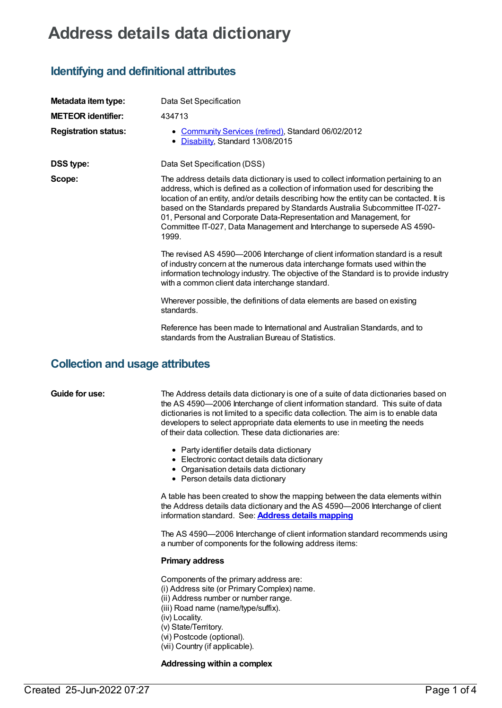# **Address details data dictionary**

### **Identifying and definitional attributes**

| Metadata item type:         | Data Set Specification                                                                                                                                                                                                                                                                                                                                                                                                                                                                                      |
|-----------------------------|-------------------------------------------------------------------------------------------------------------------------------------------------------------------------------------------------------------------------------------------------------------------------------------------------------------------------------------------------------------------------------------------------------------------------------------------------------------------------------------------------------------|
| <b>METEOR identifier:</b>   | 434713                                                                                                                                                                                                                                                                                                                                                                                                                                                                                                      |
| <b>Registration status:</b> | Community Services (retired), Standard 06/02/2012<br>Disability, Standard 13/08/2015                                                                                                                                                                                                                                                                                                                                                                                                                        |
| <b>DSS type:</b>            | Data Set Specification (DSS)                                                                                                                                                                                                                                                                                                                                                                                                                                                                                |
| Scope:                      | The address details data dictionary is used to collect information pertaining to an<br>address, which is defined as a collection of information used for describing the<br>location of an entity, and/or details describing how the entity can be contacted. It is<br>based on the Standards prepared by Standards Australia Subcommittee IT-027-<br>01, Personal and Corporate Data-Representation and Management, for<br>Committee IT-027, Data Management and Interchange to supersede AS 4590-<br>1999. |
|                             | The revised AS 4590-2006 Interchange of client information standard is a result<br>of industry concern at the numerous data interchange formats used within the<br>information technology industry. The objective of the Standard is to provide industry<br>with a common client data interchange standard.                                                                                                                                                                                                 |
|                             | Wherever possible, the definitions of data elements are based on existing<br>standards.                                                                                                                                                                                                                                                                                                                                                                                                                     |
|                             | Reference has been made to International and Australian Standards, and to<br>standards from the Australian Bureau of Statistics.                                                                                                                                                                                                                                                                                                                                                                            |

### **Collection and usage attributes**

**Guide for use:** The Address details data dictionary is one of a suite of data dictionaries based on the AS 4590—2006 Interchange of client information standard. This suite of data dictionaries is not limited to a specific data collection. The aim is to enable data developers to select appropriate data elements to use in meeting the needs of their data collection. These data dictionaries are:

- Party identifier details data dictionary
- Electronic contact details data dictionary
- Organisation details data dictionary
- Person details data dictionary

A table has been created to show the mapping between the data elements within the Address details data dictionary and the AS 4590—2006 Interchange of client information standard. See: **Address details [mapping](file:///content/471110)**

The AS 4590—2006 Interchange of client information standard recommends using a number of components for the following address items:

#### **Primary address**

Components of the primary address are: (i) Address site (or Primary Complex) name. (ii) Address number or number range. (iii) Road name (name/type/suffix). (iv) Locality. (v) State/Territory. (vi) Postcode (optional).

(vii) Country (if applicable).

### **Addressing within a complex**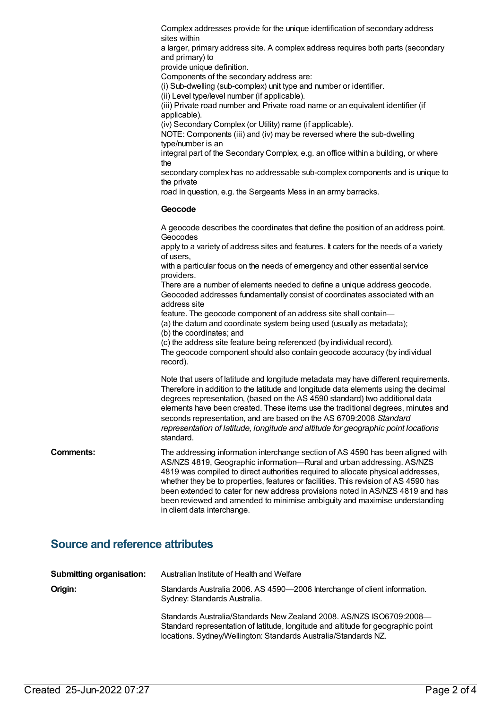|                  | Complex addresses provide for the unique identification of secondary address<br>sites within                                                                                                                                                                                                                                                                                                                                                                                                                                        |
|------------------|-------------------------------------------------------------------------------------------------------------------------------------------------------------------------------------------------------------------------------------------------------------------------------------------------------------------------------------------------------------------------------------------------------------------------------------------------------------------------------------------------------------------------------------|
|                  | a larger, primary address site. A complex address requires both parts (secondary<br>and primary) to                                                                                                                                                                                                                                                                                                                                                                                                                                 |
|                  | provide unique definition.                                                                                                                                                                                                                                                                                                                                                                                                                                                                                                          |
|                  | Components of the secondary address are:                                                                                                                                                                                                                                                                                                                                                                                                                                                                                            |
|                  | (i) Sub-dwelling (sub-complex) unit type and number or identifier.                                                                                                                                                                                                                                                                                                                                                                                                                                                                  |
|                  | (ii) Level type/level number (if applicable).<br>(iii) Private road number and Private road name or an equivalent identifier (if<br>applicable).                                                                                                                                                                                                                                                                                                                                                                                    |
|                  | (iv) Secondary Complex (or Utility) name (if applicable).                                                                                                                                                                                                                                                                                                                                                                                                                                                                           |
|                  | NOTE: Components (iii) and (iv) may be reversed where the sub-dwelling<br>type/number is an                                                                                                                                                                                                                                                                                                                                                                                                                                         |
|                  | integral part of the Secondary Complex, e.g. an office within a building, or where<br>the                                                                                                                                                                                                                                                                                                                                                                                                                                           |
|                  | secondary complex has no addressable sub-complex components and is unique to<br>the private                                                                                                                                                                                                                                                                                                                                                                                                                                         |
|                  | road in question, e.g. the Sergeants Mess in an army barracks.                                                                                                                                                                                                                                                                                                                                                                                                                                                                      |
|                  | Geocode                                                                                                                                                                                                                                                                                                                                                                                                                                                                                                                             |
|                  | A geocode describes the coordinates that define the position of an address point.<br>Geocodes                                                                                                                                                                                                                                                                                                                                                                                                                                       |
|                  | apply to a variety of address sites and features. It caters for the needs of a variety<br>of users,                                                                                                                                                                                                                                                                                                                                                                                                                                 |
|                  | with a particular focus on the needs of emergency and other essential service<br>providers.                                                                                                                                                                                                                                                                                                                                                                                                                                         |
|                  | There are a number of elements needed to define a unique address geocode.<br>Geocoded addresses fundamentally consist of coordinates associated with an<br>address site                                                                                                                                                                                                                                                                                                                                                             |
|                  | feature. The geocode component of an address site shall contain-<br>(a) the datum and coordinate system being used (usually as metadata);                                                                                                                                                                                                                                                                                                                                                                                           |
|                  | (b) the coordinates; and                                                                                                                                                                                                                                                                                                                                                                                                                                                                                                            |
|                  | (c) the address site feature being referenced (by individual record).                                                                                                                                                                                                                                                                                                                                                                                                                                                               |
|                  | The geocode component should also contain geocode accuracy (by individual<br>record).                                                                                                                                                                                                                                                                                                                                                                                                                                               |
|                  | Note that users of latitude and longitude metadata may have different requirements.<br>Therefore in addition to the latitude and longitude data elements using the decimal<br>degrees representation, (based on the AS 4590 standard) two additional data<br>elements have been created. These items use the traditional degrees, minutes and<br>seconds representation, and are based on the AS 6709:2008 Standard<br>representation of latitude, longitude and altitude for geographic point locations<br>standard.               |
| <b>Comments:</b> | The addressing information interchange section of AS 4590 has been aligned with<br>AS/NZS 4819, Geographic information-Rural and urban addressing. AS/NZS<br>4819 was compiled to direct authorities required to allocate physical addresses,<br>whether they be to properties, features or facilities. This revision of AS 4590 has<br>been extended to cater for new address provisions noted in AS/NZS 4819 and has<br>been reviewed and amended to minimise ambiguity and maximise understanding<br>in client data interchange. |
|                  |                                                                                                                                                                                                                                                                                                                                                                                                                                                                                                                                     |

# **Source and reference attributes**

| <b>Submitting organisation:</b> | Australian Institute of Health and Welfare                                                                                                                                                                                  |
|---------------------------------|-----------------------------------------------------------------------------------------------------------------------------------------------------------------------------------------------------------------------------|
| Origin:                         | Standards Australia 2006. AS 4590-2006 Interchange of client information.<br>Sydney: Standards Australia.                                                                                                                   |
|                                 | Standards Australia/Standards New Zealand 2008, AS/NZS ISO6709:2008-<br>Standard representation of latitude, longitude and altitude for geographic point<br>locations. Sydney/Wellington: Standards Australia/Standards NZ. |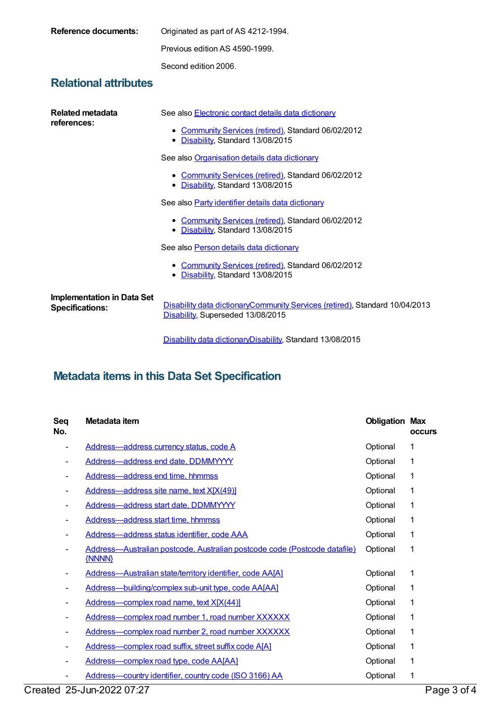| <b>Reference documents:</b>                                 | Originated as part of AS 4212-1994.                                                                                                                |
|-------------------------------------------------------------|----------------------------------------------------------------------------------------------------------------------------------------------------|
|                                                             | Previous edition AS 4590-1999.                                                                                                                     |
|                                                             | Second edition 2006.                                                                                                                               |
| <b>Relational attributes</b>                                |                                                                                                                                                    |
| Related metadata<br>references:                             | See also Electronic contact details data dictionary<br>• Community Services (retired), Standard 06/02/2012<br>Disability, Standard 13/08/2015<br>٠ |
|                                                             | See also Organisation details data dictionary                                                                                                      |
|                                                             | Community Services (retired), Standard 06/02/2012<br>٠<br>• Disability, Standard 13/08/2015                                                        |
|                                                             | See also Party identifier details data dictionary                                                                                                  |
|                                                             | <b>Community Services (retired), Standard 06/02/2012</b><br>٠<br>Disability, Standard 13/08/2015<br>٠                                              |
|                                                             | See also Person details data dictionary                                                                                                            |
|                                                             | • Community Services (retired), Standard 06/02/2012<br>Disability, Standard 13/08/2015<br>٠                                                        |
| <b>Implementation in Data Set</b><br><b>Specifications:</b> | Disability data dictionaryCommunity Services (retired), Standard 10/04/2013<br>Disability, Superseded 13/08/2015                                   |

Disability data [dictionary](https://meteor.aihw.gov.au/content/617069)[Disability](https://meteor.aihw.gov.au/RegistrationAuthority/16), Standard 13/08/2015

# **Metadata items in this Data Set Specification**

| Seq<br>No. | Metadata item                                                                       | <b>Obligation Max</b> | <b>occurs</b> |
|------------|-------------------------------------------------------------------------------------|-----------------------|---------------|
|            | Address-address currency status, code A                                             | Optional              | 1             |
|            | Address-address end date, DDMMYYYY                                                  | Optional              | 1             |
|            | Address-address end time, hhmmss                                                    | Optional              | 1             |
|            | Address-address site name, text X[X(49)]                                            | Optional              | 1             |
|            | Address-address start date, DDMMYYYY                                                | Optional              | 1             |
|            | Address-address start time, hhmmss                                                  | Optional              | 1             |
|            | Address-address status identifier, code AAA                                         | Optional              | 1             |
|            | Address-Australian postcode, Australian postcode code (Postcode datafile)<br>{NNNN} | Optional              | 1             |
|            | Address-Australian state/territory identifier, code AA[A]                           | Optional              | 1             |
|            | Address-building/complex sub-unit type, code AA[AA]                                 | Optional              | 1             |
|            | Address-complex road name, text X[X(44)]                                            | Optional              | 1             |
|            | Address-complex road number 1, road number XXXXXX                                   | Optional              | 1             |
|            | Address-complex road number 2, road number XXXXXX                                   | Optional              | 1             |
|            | Address-complex road suffix, street suffix code A[A]                                | Optional              | 1             |
|            | Address-complex road type, code AA[AA]                                              | Optional              | 1             |
|            | Address-country identifier, country code (ISO 3166) AA                              | Optional              | 1             |